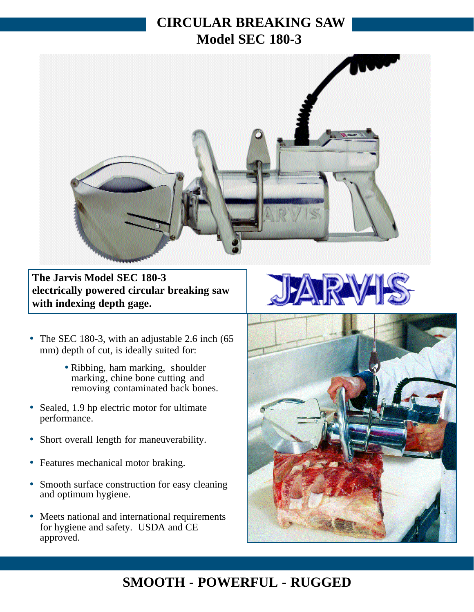## **CIRCULAR BREAKING SAW Model SEC 180-3**



**The Jarvis Model SEC 180-3 electrically powered circular breaking saw with indexing depth gage.**

- The SEC 180-3, with an adjustable 2.6 inch (65) mm) depth of cut, is ideally suited for:
	- Ribbing, ham marking, shoulder marking, chine bone cutting and removing contaminated back bones.
- Sealed, 1.9 hp electric motor for ultimate performance.
- Short overall length for maneuverability.
- Features mechanical motor braking.
- Smooth surface construction for easy cleaning and optimum hygiene.
- Meets national and international requirements for hygiene and safety. USDA and CE approved.





## **SMOOTH - POWERFUL - RUGGED**